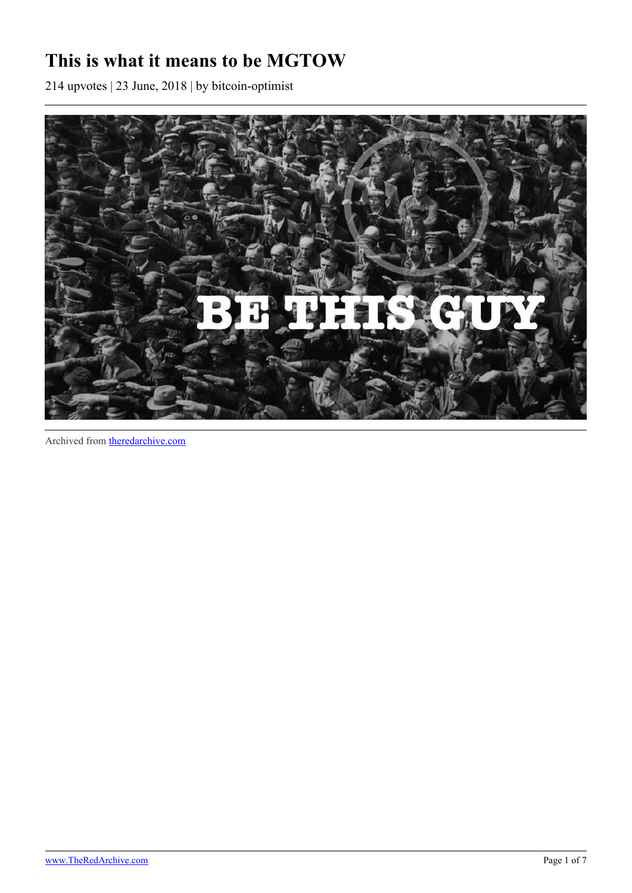## **This is what it means to be MGTOW**

214 upvotes | 23 June, 2018 | by bitcoin-optimist



Archived from [theredarchive.com](https://theredarchive.com/r/MGTOW/this-is-what-it-means-to-be-mgtow.537354)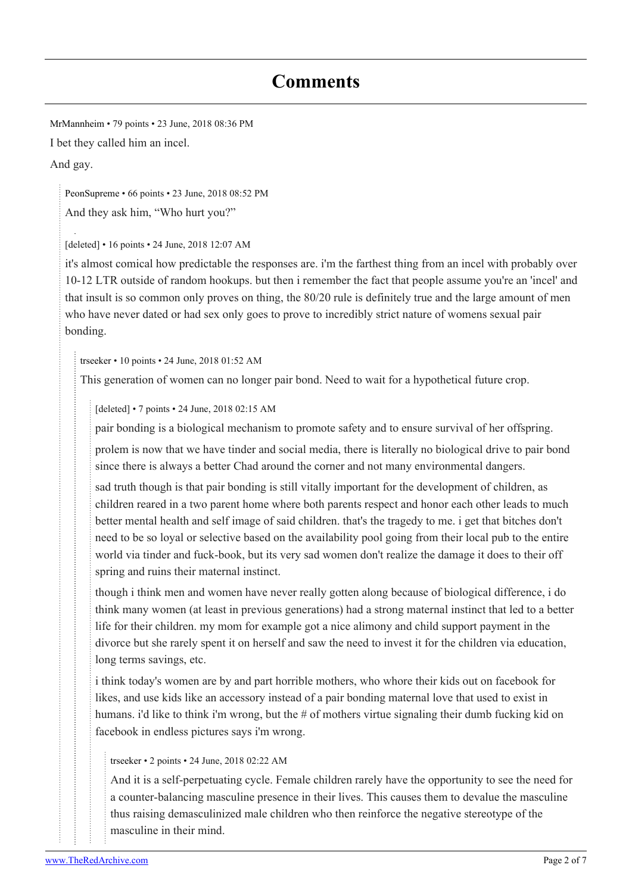## **Comments**

[MrMannheim](https://old.reddit.com/user/MrMannheim) • 79 points • 23 June, 2018 08:36 PM I bet they called him an incel. And gay.

[PeonSupreme](https://old.reddit.com/user/PeonSupreme) • 66 points • 23 June, 2018 08:52 PM

And they ask him, "Who hurt you?"

[deleted] • 16 points • 24 June, 2018 12:07 AM

it's almost comical how predictable the responses are. i'm the farthest thing from an incel with probably over 10-12 LTR outside of random hookups. but then i remember the fact that people assume you're an 'incel' and that insult is so common only proves on thing, the 80/20 rule is definitely true and the large amount of men who have never dated or had sex only goes to prove to incredibly strict nature of womens sexual pair bonding.

[trseeker](https://old.reddit.com/user/trseeker) • 10 points • 24 June, 2018 01:52 AM

This generation of women can no longer pair bond. Need to wait for a hypothetical future crop.

[deleted] • 7 points • 24 June, 2018 02:15 AM

pair bonding is a biological mechanism to promote safety and to ensure survival of her offspring.

prolem is now that we have tinder and social media, there is literally no biological drive to pair bond since there is always a better Chad around the corner and not many environmental dangers.

sad truth though is that pair bonding is still vitally important for the development of children, as children reared in a two parent home where both parents respect and honor each other leads to much better mental health and self image of said children. that's the tragedy to me. i get that bitches don't need to be so loyal or selective based on the availability pool going from their local pub to the entire world via tinder and fuck-book, but its very sad women don't realize the damage it does to their off spring and ruins their maternal instinct.

though i think men and women have never really gotten along because of biological difference, i do think many women (at least in previous generations) had a strong maternal instinct that led to a better life for their children. my mom for example got a nice alimony and child support payment in the divorce but she rarely spent it on herself and saw the need to invest it for the children via education, long terms savings, etc.

i think today's women are by and part horrible mothers, who whore their kids out on facebook for likes, and use kids like an accessory instead of a pair bonding maternal love that used to exist in humans. i'd like to think i'm wrong, but the # of mothers virtue signaling their dumb fucking kid on facebook in endless pictures says i'm wrong.

## [trseeker](https://old.reddit.com/user/trseeker) • 2 points • 24 June, 2018 02:22 AM

And it is a self-perpetuating cycle. Female children rarely have the opportunity to see the need for a counter-balancing masculine presence in their lives. This causes them to devalue the masculine thus raising demasculinized male children who then reinforce the negative stereotype of the masculine in their mind.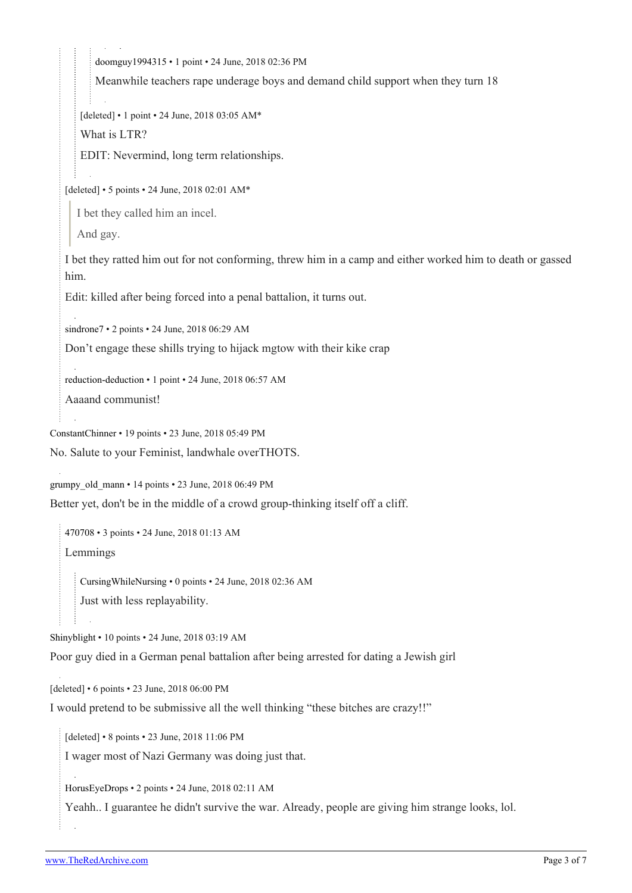[doomguy1994315](https://old.reddit.com/user/doomguy1994315) • 1 point • 24 June, 2018 02:36 PM

Meanwhile teachers rape underage boys and demand child support when they turn 18

[deleted] • 1 point • 24 June, 2018 03:05 AM\*

What is LTR?

EDIT: Nevermind, long term relationships.

[deleted] • 5 points • 24 June, 2018 02:01 AM\*

I bet they called him an incel.

And gay.

I bet they ratted him out for not conforming, threw him in a camp and either worked him to death or gassed him.

Edit: killed after being forced into a penal battalion, it turns out.

[sindrone7](https://old.reddit.com/user/sindrone7) • 2 points • 24 June, 2018 06:29 AM

Don't engage these shills trying to hijack mgtow with their kike crap

[reduction-deduction](https://old.reddit.com/user/reduction-deduction) • 1 point • 24 June, 2018 06:57 AM

Aaaand communist!

[ConstantChinner](https://old.reddit.com/user/ConstantChinner) • 19 points • 23 June, 2018 05:49 PM

No. Salute to your Feminist, landwhale overTHOTS.

[grumpy\\_old\\_mann](https://old.reddit.com/user/grumpy_old_mann) • 14 points • 23 June, 2018 06:49 PM

Better yet, don't be in the middle of a crowd group-thinking itself off a cliff.

[470708](https://old.reddit.com/user/470708) • 3 points • 24 June, 2018 01:13 AM Lemmings

[CursingWhileNursing](https://old.reddit.com/user/CursingWhileNursing) • 0 points • 24 June, 2018 02:36 AM Just with less replayability.

[Shinyblight](https://old.reddit.com/user/Shinyblight) • 10 points • 24 June, 2018 03:19 AM

Poor guy died in a German penal battalion after being arrested for dating a Jewish girl

[deleted] • 6 points • 23 June, 2018 06:00 PM

I would pretend to be submissive all the well thinking "these bitches are crazy!!"

[deleted] • 8 points • 23 June, 2018 11:06 PM

I wager most of Nazi Germany was doing just that.

[HorusEyeDrops](https://old.reddit.com/user/HorusEyeDrops) • 2 points • 24 June, 2018 02:11 AM

Yeahh.. I guarantee he didn't survive the war. Already, people are giving him strange looks, lol.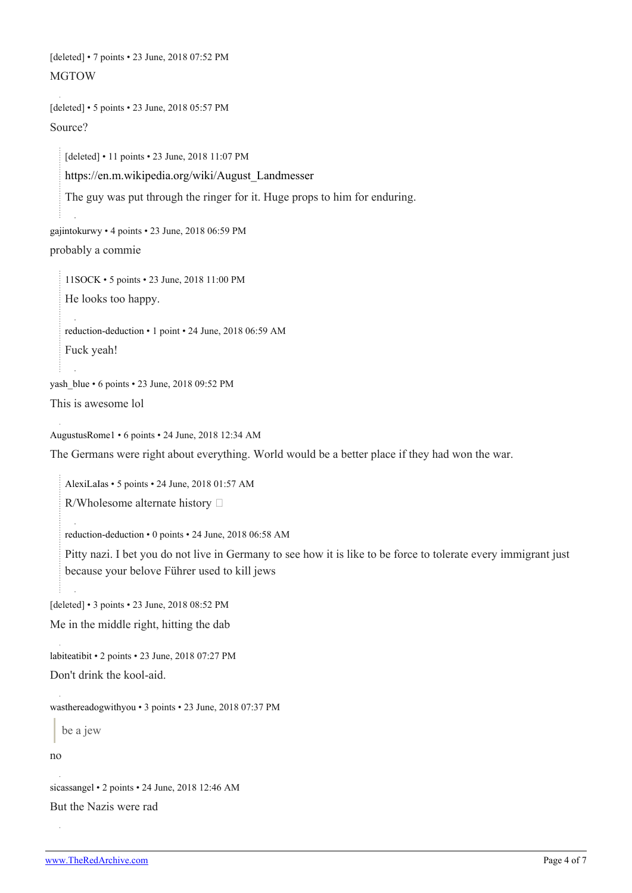[deleted] • 7 points • 23 June, 2018 07:52 PM MGTOW

[deleted] • 5 points • 23 June, 2018 05:57 PM Source?

[deleted] • 11 points • 23 June, 2018 11:07 PM [https://en.m.wikipedia.org/wiki/August\\_Landmesser](https://en.m.wikipedia.org/wiki/August_Landmesser) The guy was put through the ringer for it. Huge props to him for enduring.

```
gajintokurwy • 4 points • 23 June, 2018 06:59 PM
probably a commie
```
[11SOCK](https://old.reddit.com/user/11SOCK) • 5 points • 23 June, 2018 11:00 PM He looks too happy. [reduction-deduction](https://old.reddit.com/user/reduction-deduction) • 1 point • 24 June, 2018 06:59 AM Fuck yeah!

```
yash blue • 6 points • 23 June, 2018 09:52 PM
This is awesome lol
```
[AugustusRome1](https://old.reddit.com/user/AugustusRome1) • 6 points • 24 June, 2018 12:34 AM

The Germans were right about everything. World would be a better place if they had won the war.

[AlexiLaIas](https://old.reddit.com/user/AlexiLaIas) • 5 points • 24 June, 2018 01:57 AM

R/Wholesome alternate history

[reduction-deduction](https://old.reddit.com/user/reduction-deduction) • 0 points • 24 June, 2018 06:58 AM

Pitty nazi. I bet you do not live in Germany to see how it is like to be force to tolerate every immigrant just because your belove Führer used to kill jews

[deleted] • 3 points • 23 June, 2018 08:52 PM

Me in the middle right, hitting the dab

```
labiteatibit • 2 points • 23 June, 2018 07:27 PM
```
Don't drink the kool-aid.

[wasthereadogwithyou](https://old.reddit.com/user/wasthereadogwithyou) • 3 points • 23 June, 2018 07:37 PM

be a jew

no

```
sicassangel • 2 points • 24 June, 2018 12:46 AM
```
But the Nazis were rad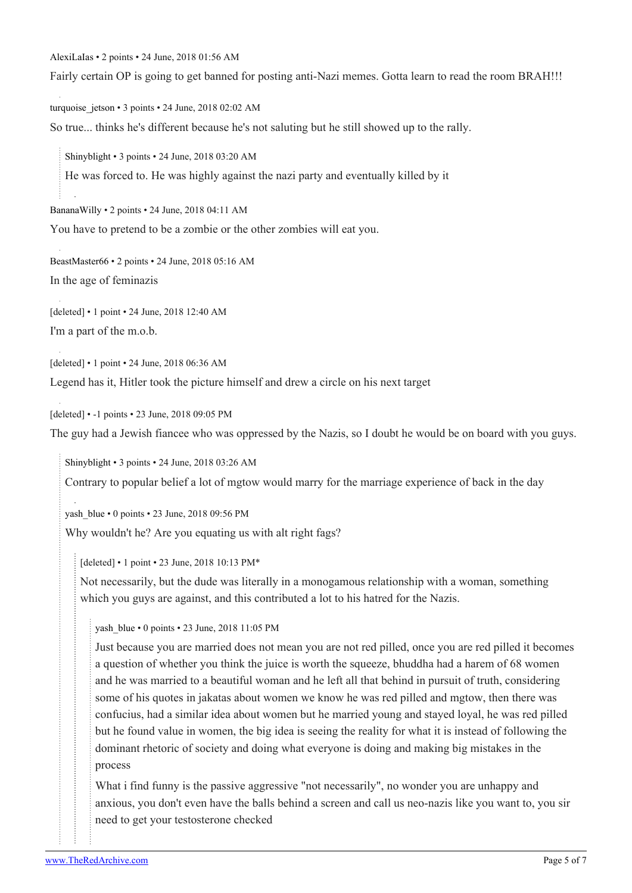[AlexiLaIas](https://old.reddit.com/user/AlexiLaIas) • 2 points • 24 June, 2018 01:56 AM

Fairly certain OP is going to get banned for posting anti-Nazi memes. Gotta learn to read the room BRAH!!!

turquoise jetson • 3 points • 24 June, 2018 02:02 AM

So true... thinks he's different because he's not saluting but he still showed up to the rally.

[Shinyblight](https://old.reddit.com/user/Shinyblight) • 3 points • 24 June, 2018 03:20 AM

He was forced to. He was highly against the nazi party and eventually killed by it

[BananaWilly](https://old.reddit.com/user/BananaWilly) • 2 points • 24 June, 2018 04:11 AM

You have to pretend to be a zombie or the other zombies will eat you.

[BeastMaster66](https://old.reddit.com/user/BeastMaster66) • 2 points • 24 June, 2018 05:16 AM

In the age of feminazis

[deleted] • 1 point • 24 June, 2018 12:40 AM I'm a part of the m.o.b.

[deleted] • 1 point • 24 June, 2018 06:36 AM

Legend has it, Hitler took the picture himself and drew a circle on his next target

[deleted] • -1 points • 23 June, 2018 09:05 PM

The guy had a Jewish fiancee who was oppressed by the Nazis, so I doubt he would be on board with you guys.

[Shinyblight](https://old.reddit.com/user/Shinyblight) • 3 points • 24 June, 2018 03:26 AM

Contrary to popular belief a lot of mgtow would marry for the marriage experience of back in the day

yash blue • 0 points • 23 June, 2018 09:56 PM

Why wouldn't he? Are you equating us with alt right fags?

[deleted] • 1 point • 23 June, 2018 10:13 PM\*

Not necessarily, but the dude was literally in a monogamous relationship with a woman, something which you guys are against, and this contributed a lot to his hatred for the Nazis.

yash blue • 0 points • 23 June, 2018 11:05 PM

Just because you are married does not mean you are not red pilled, once you are red pilled it becomes a question of whether you think the juice is worth the squeeze, bhuddha had a harem of 68 women and he was married to a beautiful woman and he left all that behind in pursuit of truth, considering some of his quotes in jakatas about women we know he was red pilled and mgtow, then there was confucius, had a similar idea about women but he married young and stayed loyal, he was red pilled but he found value in women, the big idea is seeing the reality for what it is instead of following the dominant rhetoric of society and doing what everyone is doing and making big mistakes in the process

What i find funny is the passive aggressive "not necessarily", no wonder you are unhappy and anxious, you don't even have the balls behind a screen and call us neo-nazis like you want to, you sir need to get your testosterone checked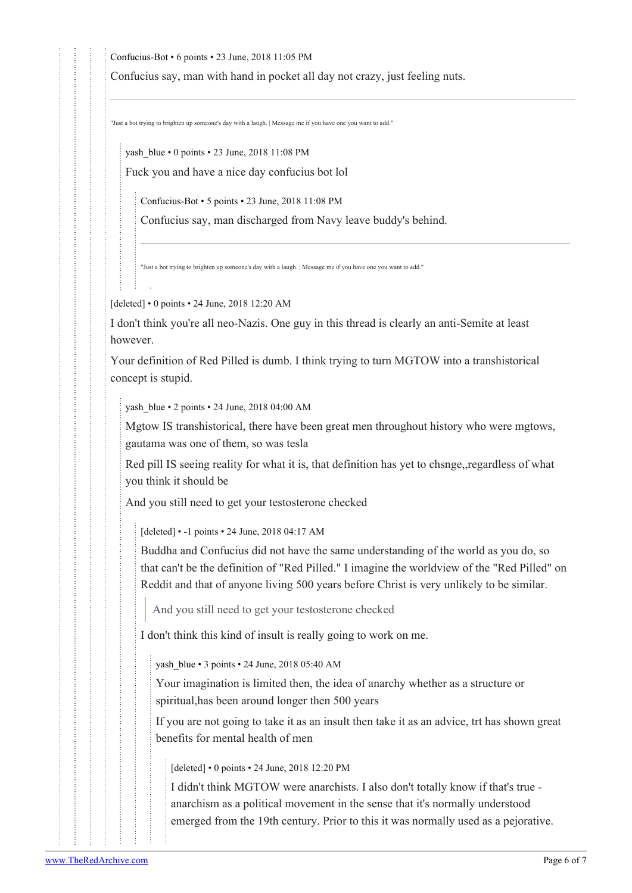[Confucius-Bot](https://old.reddit.com/user/Confucius-Bot) • 6 points • 23 June, 2018 11:05 PM

Confucius say, man with hand in pocket all day not crazy, just feeling nuts.

"Just a bot trying to brighten up someone's day with a laugh. | Message me if you have one you want to add."

yash blue • 0 points • 23 June, 2018 11:08 PM

Fuck you and have a nice day confucius bot lol

[Confucius-Bot](https://old.reddit.com/user/Confucius-Bot) • 5 points • 23 June, 2018 11:08 PM

Confucius say, man discharged from Navy leave buddy's behind.

"Just a bot trying to brighten up someone's day with a laugh. | Message me if you have one you want to add."

[deleted] • 0 points • 24 June, 2018 12:20 AM

I don't think you're all neo-Nazis. One guy in this thread is clearly an anti-Semite at least however.

Your definition of Red Pilled is dumb. I think trying to turn MGTOW into a transhistorical concept is stupid.

yash blue • 2 points • 24 June, 2018 04:00 AM

Mgtow IS transhistorical, there have been great men throughout history who were mgtows, gautama was one of them, so was tesla

Red pill IS seeing reality for what it is, that definition has yet to chsnge,,regardless of what you think it should be

And you still need to get your testosterone checked

[deleted] • -1 points • 24 June, 2018 04:17 AM

Buddha and Confucius did not have the same understanding of the world as you do, so that can't be the definition of "Red Pilled." I imagine the worldview of the "Red Pilled" on Reddit and that of anyone living 500 years before Christ is very unlikely to be similar.

And you still need to get your testosterone checked

I don't think this kind of insult is really going to work on me.

yash blue • 3 points • 24 June, 2018 05:40 AM

Your imagination is limited then, the idea of anarchy whether as a structure or spiritual,has been around longer then 500 years

If you are not going to take it as an insult then take it as an advice, trt has shown great benefits for mental health of men

[deleted] • 0 points • 24 June, 2018 12:20 PM

I didn't think MGTOW were anarchists. I also don't totally know if that's true anarchism as a political movement in the sense that it's normally understood emerged from the 19th century. Prior to this it was normally used as a pejorative.